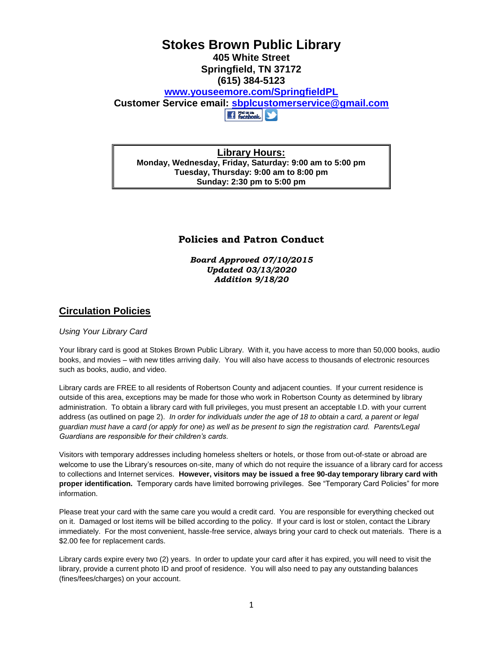# **Stokes Brown Public Library 405 White Street Springfield, TN 37172 (615) 384-5123 [www.youseemore.com/SpringfieldPL](http://www.youseemore.com/SpringfieldPL) Customer Service email: [sbplcustomerservice@gmail.com](mailto:sbplcustomerservice@gmail.com) Et France (SA)**

**Library Hours: Monday, Wednesday, Friday, Saturday: 9:00 am to 5:00 pm Tuesday, Thursday: 9:00 am to 8:00 pm Sunday: 2:30 pm to 5:00 pm**

# **Policies and Patron Conduct**

*Board Approved 07/10/2015 Updated 03/13/2020 Addition 9/18/20*

# **Circulation Policies**

## *Using Your Library Card*

Your library card is good at Stokes Brown Public Library. With it, you have access to more than 50,000 books, audio books, and movies – with new titles arriving daily. You will also have access to thousands of electronic resources such as books, audio, and video.

Library cards are FREE to all residents of Robertson County and adjacent counties. If your current residence is outside of this area, exceptions may be made for those who work in Robertson County as determined by library administration. To obtain a library card with full privileges, you must present an acceptable I.D. with your current address (as outlined on page 2). *In order for individuals under the age of 18 to obtain a card, a parent or legal guardian must have a card (or apply for one) as well as be present to sign the registration card. Parents/Legal Guardians are responsible for their children's cards.*

Visitors with temporary addresses including homeless shelters or hotels, or those from out-of-state or abroad are welcome to use the Library's resources on-site, many of which do not require the issuance of a library card for access to collections and Internet services. **However, visitors may be issued a free 90-day temporary library card with proper identification.** Temporary cards have limited borrowing privileges. See "Temporary Card Policies" for more information.

Please treat your card with the same care you would a credit card. You are responsible for everything checked out on it. Damaged or lost items will be billed according to the policy. If your card is lost or stolen, contact the Library immediately. For the most convenient, hassle-free service, always bring your card to check out materials. There is a \$2.00 fee for replacement cards.

Library cards expire every two (2) years. In order to update your card after it has expired, you will need to visit the library, provide a current photo ID and proof of residence. You will also need to pay any outstanding balances (fines/fees/charges) on your account.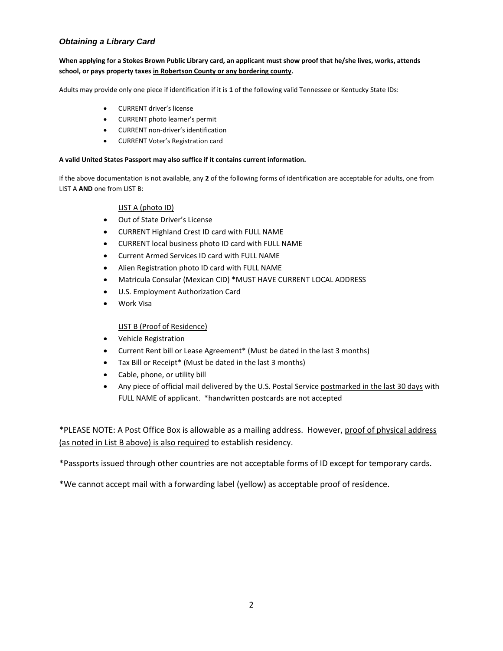# *Obtaining a Library Card*

## **When applying for a Stokes Brown Public Library card, an applicant must show proof that he/she lives, works, attends school, or pays property taxes in Robertson County or any bordering county.**

Adults may provide only one piece if identification if it is **1** of the following valid Tennessee or Kentucky State IDs:

- CURRENT driver's license
- CURRENT photo learner's permit
- CURRENT non-driver's identification
- CURRENT Voter's Registration card

### **A valid United States Passport may also suffice if it contains current information.**

If the above documentation is not available, any **2** of the following forms of identification are acceptable for adults, one from LIST A **AND** one from LIST B:

## LIST A (photo ID)

- Out of State Driver's License
- CURRENT Highland Crest ID card with FULL NAME
- CURRENT local business photo ID card with FULL NAME
- Current Armed Services ID card with FULL NAME
- Alien Registration photo ID card with FULL NAME
- Matricula Consular (Mexican CID) \*MUST HAVE CURRENT LOCAL ADDRESS
- U.S. Employment Authorization Card
- Work Visa

## LIST B (Proof of Residence)

- Vehicle Registration
- Current Rent bill or Lease Agreement\* (Must be dated in the last 3 months)
- Tax Bill or Receipt\* (Must be dated in the last 3 months)
- Cable, phone, or utility bill
- Any piece of official mail delivered by the U.S. Postal Service postmarked in the last 30 days with FULL NAME of applicant. \*handwritten postcards are not accepted

\*PLEASE NOTE: A Post Office Box is allowable as a mailing address. However, proof of physical address (as noted in List B above) is also required to establish residency.

\*Passports issued through other countries are not acceptable forms of ID except for temporary cards.

\*We cannot accept mail with a forwarding label (yellow) as acceptable proof of residence.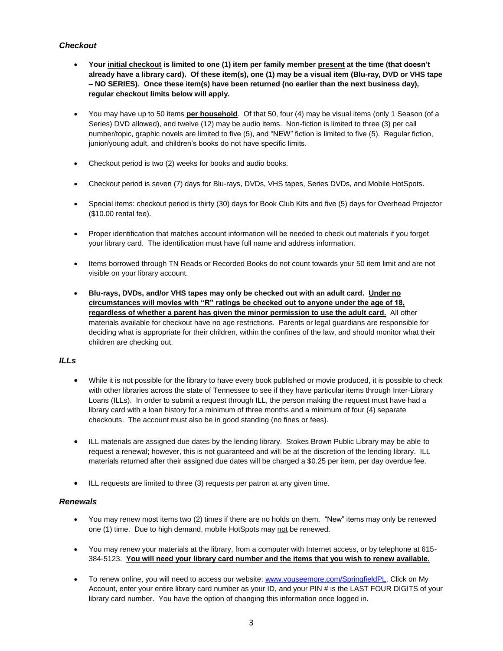# *Checkout*

- **Your initial checkout is limited to one (1) item per family member present at the time (that doesn't already have a library card). Of these item(s), one (1) may be a visual item (Blu-ray, DVD or VHS tape – NO SERIES). Once these item(s) have been returned (no earlier than the next business day), regular checkout limits below will apply.**
- You may have up to 50 items **per household**. Of that 50, four (4) may be visual items (only 1 Season (of a Series) DVD allowed), and twelve (12) may be audio items. Non-fiction is limited to three (3) per call number/topic, graphic novels are limited to five (5), and "NEW" fiction is limited to five (5). Regular fiction, junior/young adult, and children's books do not have specific limits.
- Checkout period is two (2) weeks for books and audio books.
- Checkout period is seven (7) days for Blu-rays, DVDs, VHS tapes, Series DVDs, and Mobile HotSpots.
- Special items: checkout period is thirty (30) days for Book Club Kits and five (5) days for Overhead Projector (\$10.00 rental fee).
- Proper identification that matches account information will be needed to check out materials if you forget your library card. The identification must have full name and address information.
- Items borrowed through TN Reads or Recorded Books do not count towards your 50 item limit and are not visible on your library account.
- **Blu-rays, DVDs, and/or VHS tapes may only be checked out with an adult card. Under no circumstances will movies with "R" ratings be checked out to anyone under the age of 18, regardless of whether a parent has given the minor permission to use the adult card.** All other materials available for checkout have no age restrictions. Parents or legal guardians are responsible for deciding what is appropriate for their children, within the confines of the law, and should monitor what their children are checking out.

## *ILLs*

- While it is not possible for the library to have every book published or movie produced, it is possible to check with other libraries across the state of Tennessee to see if they have particular items through Inter-Library Loans (ILLs). In order to submit a request through ILL, the person making the request must have had a library card with a loan history for a minimum of three months and a minimum of four (4) separate checkouts. The account must also be in good standing (no fines or fees).
- ILL materials are assigned due dates by the lending library. Stokes Brown Public Library may be able to request a renewal; however, this is not guaranteed and will be at the discretion of the lending library. ILL materials returned after their assigned due dates will be charged a \$0.25 per item, per day overdue fee.
- ILL requests are limited to three (3) requests per patron at any given time.

## *Renewals*

- You may renew most items two (2) times if there are no holds on them. "New" items may only be renewed one (1) time. Due to high demand, mobile HotSpots may not be renewed.
- You may renew your materials at the library, from a computer with Internet access, or by telephone at 615- 384-5123. **You will need your library card number and the items that you wish to renew available.**
- To renew online, you will need to access our website: [www.youseemore.com/SpringfieldPL.](http://www.youseemore.com/SpringfieldPL) Click on My Account, enter your entire library card number as your ID, and your PIN # is the LAST FOUR DIGITS of your library card number. You have the option of changing this information once logged in.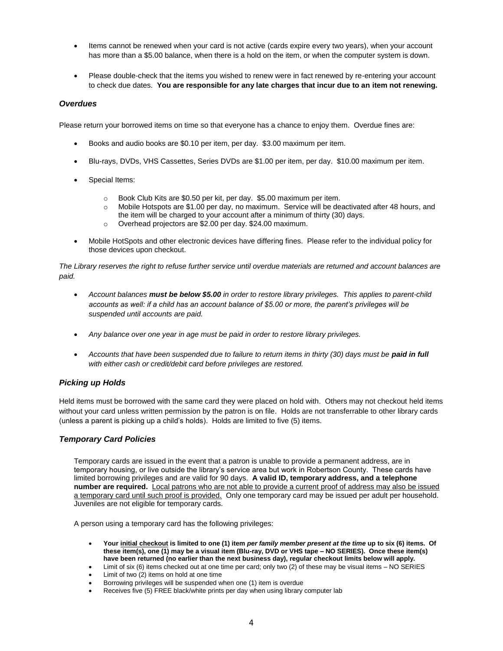- Items cannot be renewed when your card is not active (cards expire every two years), when your account has more than a \$5.00 balance, when there is a hold on the item, or when the computer system is down.
- Please double-check that the items you wished to renew were in fact renewed by re-entering your account to check due dates. **You are responsible for any late charges that incur due to an item not renewing.**

### *Overdues*

Please return your borrowed items on time so that everyone has a chance to enjoy them. Overdue fines are:

- Books and audio books are \$0.10 per item, per day. \$3.00 maximum per item.
- Blu-rays, DVDs, VHS Cassettes, Series DVDs are \$1.00 per item, per day. \$10.00 maximum per item.
- Special Items:
	- o Book Club Kits are \$0.50 per kit, per day. \$5.00 maximum per item.
	- o Mobile Hotspots are \$1.00 per day, no maximum. Service will be deactivated after 48 hours, and the item will be charged to your account after a minimum of thirty (30) days.
	- o Overhead projectors are \$2.00 per day. \$24.00 maximum.
- Mobile HotSpots and other electronic devices have differing fines. Please refer to the individual policy for those devices upon checkout.

*The Library reserves the right to refuse further service until overdue materials are returned and account balances are paid.*

- *Account balances must be below \$5.00 in order to restore library privileges. This applies to parent-child accounts as well: if a child has an account balance of \$5.00 or more, the parent's privileges will be suspended until accounts are paid.*
- *Any balance over one year in age must be paid in order to restore library privileges.*
- *Accounts that have been suspended due to failure to return items in thirty (30) days must be paid in full with either cash or credit/debit card before privileges are restored.*

#### *Picking up Holds*

Held items must be borrowed with the same card they were placed on hold with. Others may not checkout held items without your card unless written permission by the patron is on file. Holds are not transferrable to other library cards (unless a parent is picking up a child's holds). Holds are limited to five (5) items.

#### *Temporary Card Policies*

Temporary cards are issued in the event that a patron is unable to provide a permanent address, are in temporary housing, or live outside the library's service area but work in Robertson County. These cards have limited borrowing privileges and are valid for 90 days. **A valid ID, temporary address, and a telephone number are required.** Local patrons who are not able to provide a current proof of address may also be issued a temporary card until such proof is provided. Only one temporary card may be issued per adult per household. Juveniles are not eligible for temporary cards.

A person using a temporary card has the following privileges:

- **Your initial checkout is limited to one (1) item** *per family member present at the time* **up to six (6) items. Of these item(s), one (1) may be a visual item (Blu-ray, DVD or VHS tape – NO SERIES). Once these item(s) have been returned (no earlier than the next business day), regular checkout limits below will apply.**
- Limit of six (6) items checked out at one time per card; only two (2) of these may be visual items NO SERIES
- Limit of two (2) items on hold at one time
- Borrowing privileges will be suspended when one (1) item is overdue
- Receives five (5) FREE black/white prints per day when using library computer lab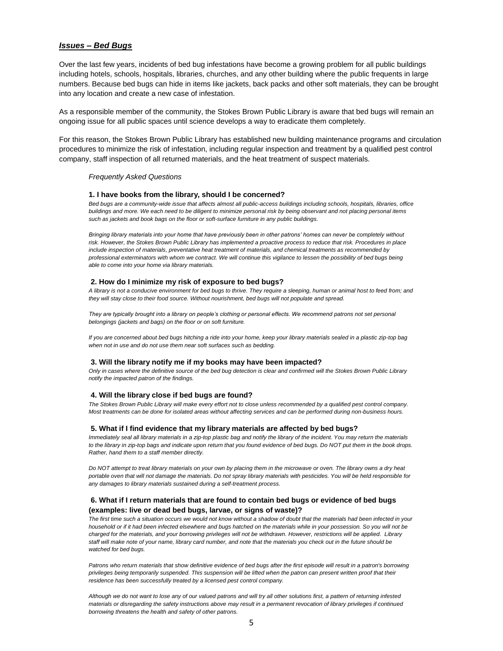### *Issues – Bed Bugs*

Over the last few years, incidents of bed bug infestations have become a growing problem for all public buildings including hotels, schools, hospitals, libraries, churches, and any other building where the public frequents in large numbers. Because bed bugs can hide in items like jackets, back packs and other soft materials, they can be brought into any location and create a new case of infestation.

As a responsible member of the community, the Stokes Brown Public Library is aware that bed bugs will remain an ongoing issue for all public spaces until science develops a way to eradicate them completely.

For this reason, the Stokes Brown Public Library has established new building maintenance programs and circulation procedures to minimize the risk of infestation, including regular inspection and treatment by a qualified pest control company, staff inspection of all returned materials, and the heat treatment of suspect materials.

#### *Frequently Asked Questions*

#### **1. I have books from the library, should I be concerned?**

*Bed bugs are a community-wide issue that affects almost all public-access buildings including schools, hospitals, libraries, office buildings and more. We each need to be diligent to minimize personal risk by being observant and not placing personal items such as jackets and book bags on the floor or soft-surface furniture in any public buildings.*

*Bringing library materials into your home that have previously been in other patrons' homes can never be completely without risk. However, the Stokes Brown Public Library has implemented a proactive process to reduce that risk. Procedures in place include inspection of materials, preventative heat treatment of materials, and chemical treatments as recommended by professional exterminators with whom we contract. We will continue this vigilance to lessen the possibility of bed bugs being able to come into your home via library materials.*

#### **2. How do I minimize my risk of exposure to bed bugs?**

*A library is not a conducive environment for bed bugs to thrive. They require a sleeping, human or animal host to feed from; and they will stay close to their food source. Without nourishment, bed bugs will not populate and spread.*

*They are typically brought into a library on people's clothing or personal effects. We recommend patrons not set personal belongings (jackets and bags) on the floor or on soft furniture.*

*If you are concerned about bed bugs hitching a ride into your home, keep your library materials sealed in a plastic zip-top bag when not in use and do not use them near soft surfaces such as bedding.*

#### **3. Will the library notify me if my books may have been impacted?**

*Only in cases where the definitive source of the bed bug detection is clear and confirmed will the Stokes Brown Public Library notify the impacted patron of the findings.*

#### **4. Will the library close if bed bugs are found?**

*The Stokes Brown Public Library will make every effort not to close unless recommended by a qualified pest control company. Most treatments can be done for isolated areas without affecting services and can be performed during non-business hours.*

#### **5. What if I find evidence that my library materials are affected by bed bugs?**

*Immediately seal all library materials in a zip-top plastic bag and notify the library of the incident. You may return the materials to the library in zip-top bags and indicate upon return that you found evidence of bed bugs. Do NOT put them in the book drops. Rather, hand them to a staff member directly.*

*Do NOT attempt to treat library materials on your own by placing them in the microwave or oven. The library owns a dry heat portable oven that will not damage the materials. Do not spray library materials with pesticides. You will be held responsible for any damages to library materials sustained during a self-treatment process.*

#### **6. What if I return materials that are found to contain bed bugs or evidence of bed bugs (examples: live or dead bed bugs, larvae, or signs of waste)?**

*The first time such a situation occurs we would not know without a shadow of doubt that the materials had been infected in your household or if it had been infected elsewhere and bugs hatched on the materials while in your possession. So you will not be charged for the materials, and your borrowing privileges will not be withdrawn. However, restrictions will be applied. Library staff will make note of your name, library card number, and note that the materials you check out in the future should be watched for bed bugs.*

*Patrons who return materials that show definitive evidence of bed bugs after the first episode will result in a patron's borrowing*  privileges being temporarily suspended. This suspension will be lifted when the patron can present written proof that their *residence has been successfully treated by a licensed pest control company.*

*Although we do not want to lose any of our valued patrons and will try all other solutions first, a pattern of returning infested materials or disregarding the safety instructions above may result in a permanent revocation of library privileges if continued borrowing threatens the health and safety of other patrons.*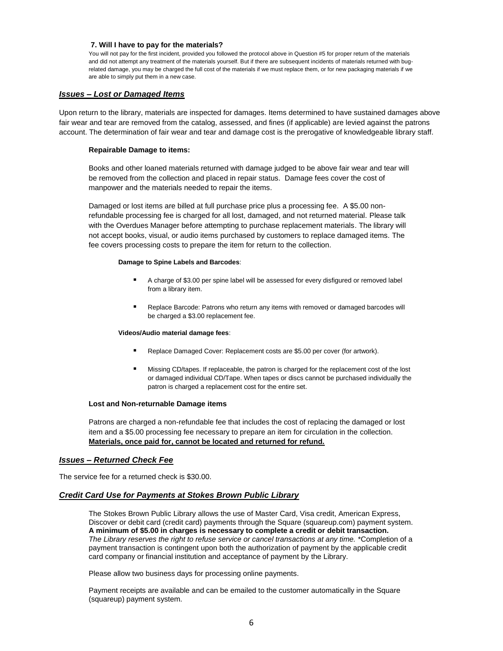#### **7. Will I have to pay for the materials?**

You will not pay for the first incident, provided you followed the protocol above in Question #5 for proper return of the materials and did not attempt any treatment of the materials yourself. But if there are subsequent incidents of materials returned with bugrelated damage, you may be charged the full cost of the materials if we must replace them, or for new packaging materials if we are able to simply put them in a new case.

### *Issues – Lost or Damaged Items*

Upon return to the library, materials are inspected for damages. Items determined to have sustained damages above fair wear and tear are removed from the catalog, assessed, and fines (if applicable) are levied against the patrons account. The determination of fair wear and tear and damage cost is the prerogative of knowledgeable library staff.

#### **Repairable Damage to items:**

Books and other loaned materials returned with damage judged to be above fair wear and tear will be removed from the collection and placed in repair status. Damage fees cover the cost of manpower and the materials needed to repair the items.

Damaged or lost items are billed at full purchase price plus a processing fee. A \$5.00 nonrefundable processing fee is charged for all lost, damaged, and not returned material. Please talk with the Overdues Manager before attempting to purchase replacement materials. The library will not accept books, visual, or audio items purchased by customers to replace damaged items. The fee covers processing costs to prepare the item for return to the collection.

#### **Damage to Spine Labels and Barcodes**:

- A charge of \$3.00 per spine label will be assessed for every disfigured or removed label from a library item.
- Replace Barcode: Patrons who return any items with removed or damaged barcodes will be charged a \$3.00 replacement fee.

#### **Videos/Audio material damage fees**:

- Replace Damaged Cover: Replacement costs are \$5.00 per cover (for artwork).
- Missing CD/tapes. If replaceable, the patron is charged for the replacement cost of the lost or damaged individual CD/Tape. When tapes or discs cannot be purchased individually the patron is charged a replacement cost for the entire set.

#### **Lost and Non-returnable Damage items**

Patrons are charged a non-refundable fee that includes the cost of replacing the damaged or lost item and a \$5.00 processing fee necessary to prepare an item for circulation in the collection. **Materials, once paid for, cannot be located and returned for refund.**

#### *Issues – Returned Check Fee*

The service fee for a returned check is \$30.00.

#### *Credit Card Use for Payments at Stokes Brown Public Library*

The Stokes Brown Public Library allows the use of Master Card, Visa credit, American Express, Discover or debit card (credit card) payments through the Square (squareup.com) payment system. **A minimum of \$5.00 in charges is necessary to complete a credit or debit transaction.** *The Library reserves the right to refuse service or cancel transactions at any time.* \*Completion of a payment transaction is contingent upon both the authorization of payment by the applicable credit card company or financial institution and acceptance of payment by the Library.

Please allow two business days for processing online payments.

Payment receipts are available and can be emailed to the customer automatically in the Square (squareup) payment system.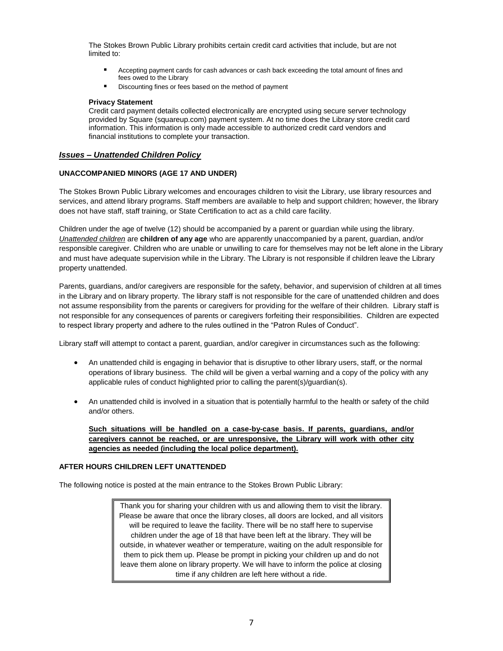The Stokes Brown Public Library prohibits certain credit card activities that include, but are not limited to:

- Accepting payment cards for cash advances or cash back exceeding the total amount of fines and fees owed to the Library
- Discounting fines or fees based on the method of payment

#### **Privacy Statement**

Credit card payment details collected electronically are encrypted using secure server technology provided by Square (squareup.com) payment system. At no time does the Library store credit card information. This information is only made accessible to authorized credit card vendors and financial institutions to complete your transaction.

#### *Issues – Unattended Children Policy*

#### **UNACCOMPANIED MINORS (AGE 17 AND UNDER)**

The Stokes Brown Public Library welcomes and encourages children to visit the Library, use library resources and services, and attend library programs. Staff members are available to help and support children; however, the library does not have staff, staff training, or State Certification to act as a child care facility.

Children under the age of twelve (12) should be accompanied by a parent or guardian while using the library. *Unattended children* are **children of any age** who are apparently unaccompanied by a parent, guardian, and/or responsible caregiver. Children who are unable or unwilling to care for themselves may not be left alone in the Library and must have adequate supervision while in the Library. The Library is not responsible if children leave the Library property unattended.

Parents, guardians, and/or caregivers are responsible for the safety, behavior, and supervision of children at all times in the Library and on library property. The library staff is not responsible for the care of unattended children and does not assume responsibility from the parents or caregivers for providing for the welfare of their children. Library staff is not responsible for any consequences of parents or caregivers forfeiting their responsibilities. Children are expected to respect library property and adhere to the rules outlined in the "Patron Rules of Conduct".

Library staff will attempt to contact a parent, guardian, and/or caregiver in circumstances such as the following:

- An unattended child is engaging in behavior that is disruptive to other library users, staff, or the normal operations of library business. The child will be given a verbal warning and a copy of the policy with any applicable rules of conduct highlighted prior to calling the parent(s)/guardian(s).
- An unattended child is involved in a situation that is potentially harmful to the health or safety of the child and/or others.

**Such situations will be handled on a case-by-case basis. If parents, guardians, and/or caregivers cannot be reached, or are unresponsive, the Library will work with other city agencies as needed (including the local police department).**

#### **AFTER HOURS CHILDREN LEFT UNATTENDED**

The following notice is posted at the main entrance to the Stokes Brown Public Library:

Thank you for sharing your children with us and allowing them to visit the library. Please be aware that once the library closes, all doors are locked, and all visitors will be required to leave the facility. There will be no staff here to supervise children under the age of 18 that have been left at the library. They will be outside, in whatever weather or temperature, waiting on the adult responsible for them to pick them up. Please be prompt in picking your children up and do not leave them alone on library property. We will have to inform the police at closing time if any children are left here without a ride.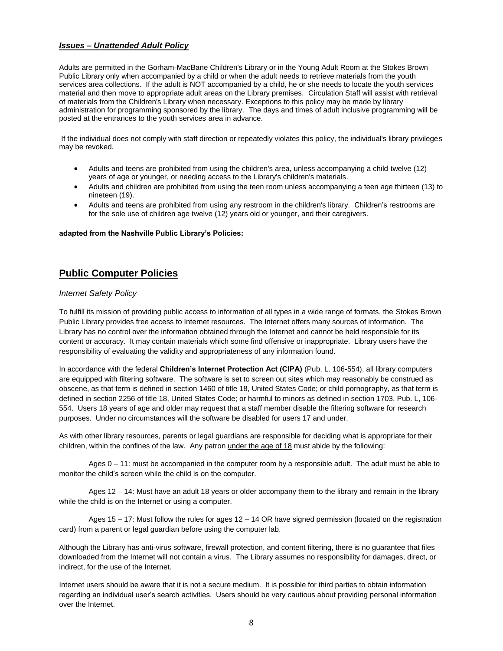## *Issues – Unattended Adult Policy*

Adults are permitted in the Gorham-MacBane Children's Library or in the Young Adult Room at the Stokes Brown Public Library only when accompanied by a child or when the adult needs to retrieve materials from the youth services area collections. If the adult is NOT accompanied by a child, he or she needs to locate the youth services material and then move to appropriate adult areas on the Library premises. Circulation Staff will assist with retrieval of materials from the Children's Library when necessary. Exceptions to this policy may be made by library administration for programming sponsored by the library. The days and times of adult inclusive programming will be posted at the entrances to the youth services area in advance.

If the individual does not comply with staff direction or repeatedly violates this policy, the individual's library privileges may be revoked.

- Adults and teens are prohibited from using the children's area, unless accompanying a child twelve (12) years of age or younger, or needing access to the Library's children's materials.
- Adults and children are prohibited from using the teen room unless accompanying a teen age thirteen (13) to nineteen (19).
- Adults and teens are prohibited from using any restroom in the children's library. Children's restrooms are for the sole use of children age twelve (12) years old or younger, and their caregivers.

#### **adapted from the Nashville Public Library's Policies:**

# **Public Computer Policies**

## *Internet Safety Policy*

To fulfill its mission of providing public access to information of all types in a wide range of formats, the Stokes Brown Public Library provides free access to Internet resources. The Internet offers many sources of information. The Library has no control over the information obtained through the Internet and cannot be held responsible for its content or accuracy. It may contain materials which some find offensive or inappropriate. Library users have the responsibility of evaluating the validity and appropriateness of any information found.

In accordance with the federal **Children's Internet Protection Act (CIPA)** (Pub. L. 106-554), all library computers are equipped with filtering software. The software is set to screen out sites which may reasonably be construed as obscene, as that term is defined in section 1460 of title 18, United States Code; or child pornography, as that term is defined in section 2256 of title 18, United States Code; or harmful to minors as defined in section 1703, Pub. L, 106- 554. Users 18 years of age and older may request that a staff member disable the filtering software for research purposes. Under no circumstances will the software be disabled for users 17 and under.

As with other library resources, parents or legal guardians are responsible for deciding what is appropriate for their children, within the confines of the law. Any patron under the age of 18 must abide by the following:

Ages 0 – 11: must be accompanied in the computer room by a responsible adult. The adult must be able to monitor the child's screen while the child is on the computer.

Ages 12 – 14: Must have an adult 18 years or older accompany them to the library and remain in the library while the child is on the Internet or using a computer.

Ages 15 – 17: Must follow the rules for ages 12 – 14 OR have signed permission (located on the registration card) from a parent or legal guardian before using the computer lab.

Although the Library has anti-virus software, firewall protection, and content filtering, there is no guarantee that files downloaded from the Internet will not contain a virus. The Library assumes no responsibility for damages, direct, or indirect, for the use of the Internet.

Internet users should be aware that it is not a secure medium. It is possible for third parties to obtain information regarding an individual user's search activities. Users should be very cautious about providing personal information over the Internet.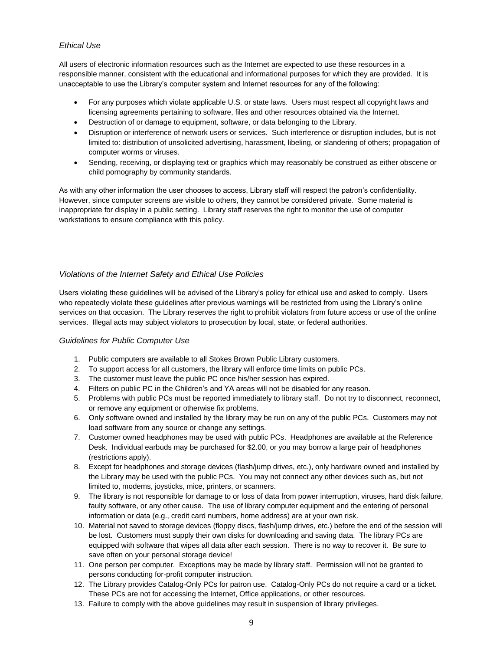# *Ethical Use*

All users of electronic information resources such as the Internet are expected to use these resources in a responsible manner, consistent with the educational and informational purposes for which they are provided. It is unacceptable to use the Library's computer system and Internet resources for any of the following:

- For any purposes which violate applicable U.S. or state laws. Users must respect all copyright laws and licensing agreements pertaining to software, files and other resources obtained via the Internet.
- Destruction of or damage to equipment, software, or data belonging to the Library.
- Disruption or interference of network users or services. Such interference or disruption includes, but is not limited to: distribution of unsolicited advertising, harassment, libeling, or slandering of others; propagation of computer worms or viruses.
- Sending, receiving, or displaying text or graphics which may reasonably be construed as either obscene or child pornography by community standards.

As with any other information the user chooses to access, Library staff will respect the patron's confidentiality. However, since computer screens are visible to others, they cannot be considered private. Some material is inappropriate for display in a public setting. Library staff reserves the right to monitor the use of computer workstations to ensure compliance with this policy.

# *Violations of the Internet Safety and Ethical Use Policies*

Users violating these guidelines will be advised of the Library's policy for ethical use and asked to comply. Users who repeatedly violate these guidelines after previous warnings will be restricted from using the Library's online services on that occasion. The Library reserves the right to prohibit violators from future access or use of the online services. Illegal acts may subject violators to prosecution by local, state, or federal authorities.

## *Guidelines for Public Computer Use*

- 1. Public computers are available to all Stokes Brown Public Library customers.
- 2. To support access for all customers, the library will enforce time limits on public PCs.
- 3. The customer must leave the public PC once his/her session has expired.
- 4. Filters on public PC in the Children's and YA areas will not be disabled for any reason.
- 5. Problems with public PCs must be reported immediately to library staff. Do not try to disconnect, reconnect, or remove any equipment or otherwise fix problems.
- 6. Only software owned and installed by the library may be run on any of the public PCs. Customers may not load software from any source or change any settings.
- 7. Customer owned headphones may be used with public PCs. Headphones are available at the Reference Desk. Individual earbuds may be purchased for \$2.00, or you may borrow a large pair of headphones (restrictions apply).
- 8. Except for headphones and storage devices (flash/jump drives, etc.), only hardware owned and installed by the Library may be used with the public PCs. You may not connect any other devices such as, but not limited to, modems, joysticks, mice, printers, or scanners.
- 9. The library is not responsible for damage to or loss of data from power interruption, viruses, hard disk failure, faulty software, or any other cause. The use of library computer equipment and the entering of personal information or data (e.g., credit card numbers, home address) are at your own risk.
- 10. Material not saved to storage devices (floppy discs, flash/jump drives, etc.) before the end of the session will be lost. Customers must supply their own disks for downloading and saving data. The library PCs are equipped with software that wipes all data after each session. There is no way to recover it. Be sure to save often on your personal storage device!
- 11. One person per computer. Exceptions may be made by library staff. Permission will not be granted to persons conducting for-profit computer instruction.
- 12. The Library provides Catalog-Only PCs for patron use. Catalog-Only PCs do not require a card or a ticket. These PCs are not for accessing the Internet, Office applications, or other resources.
- 13. Failure to comply with the above guidelines may result in suspension of library privileges.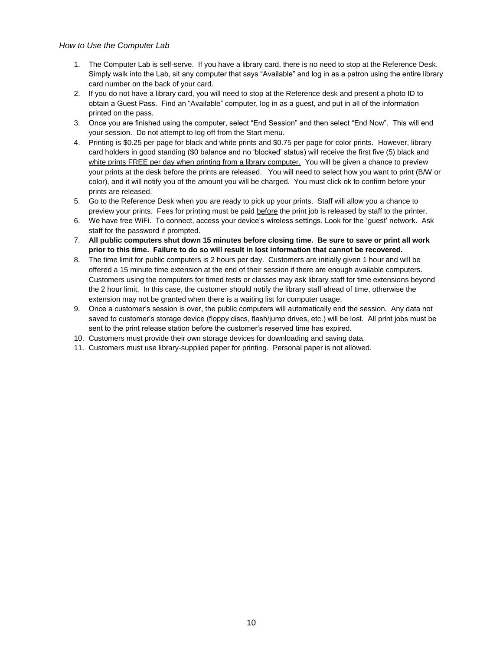## *How to Use the Computer Lab*

- 1. The Computer Lab is self-serve. If you have a library card, there is no need to stop at the Reference Desk. Simply walk into the Lab, sit any computer that says "Available" and log in as a patron using the entire library card number on the back of your card.
- 2. If you do not have a library card, you will need to stop at the Reference desk and present a photo ID to obtain a Guest Pass. Find an "Available" computer, log in as a guest, and put in all of the information printed on the pass.
- 3. Once you are finished using the computer, select "End Session" and then select "End Now". This will end your session. Do not attempt to log off from the Start menu.
- 4. Printing is \$0.25 per page for black and white prints and \$0.75 per page for color prints. However, library card holders in good standing (\$0 balance and no 'blocked' status) will receive the first five (5) black and white prints FREE per day when printing from a library computer. You will be given a chance to preview your prints at the desk before the prints are released. You will need to select how you want to print (B/W or color), and it will notify you of the amount you will be charged. You must click ok to confirm before your prints are released.
- 5. Go to the Reference Desk when you are ready to pick up your prints. Staff will allow you a chance to preview your prints. Fees for printing must be paid before the print job is released by staff to the printer.
- 6. We have free WiFi. To connect, access your device's wireless settings. Look for the 'guest' network. Ask staff for the password if prompted.
- 7. **All public computers shut down 15 minutes before closing time. Be sure to save or print all work prior to this time. Failure to do so will result in lost information that cannot be recovered.**
- 8. The time limit for public computers is 2 hours per day. Customers are initially given 1 hour and will be offered a 15 minute time extension at the end of their session if there are enough available computers. Customers using the computers for timed tests or classes may ask library staff for time extensions beyond the 2 hour limit. In this case, the customer should notify the library staff ahead of time, otherwise the extension may not be granted when there is a waiting list for computer usage.
- 9. Once a customer's session is over, the public computers will automatically end the session. Any data not saved to customer's storage device (floppy discs, flash/jump drives, etc.) will be lost. All print jobs must be sent to the print release station before the customer's reserved time has expired.
- 10. Customers must provide their own storage devices for downloading and saving data.
- 11. Customers must use library-supplied paper for printing. Personal paper is not allowed.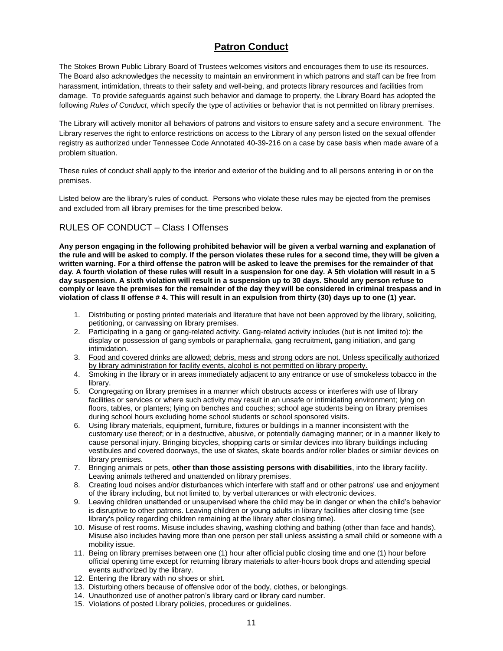# **Patron Conduct**

The Stokes Brown Public Library Board of Trustees welcomes visitors and encourages them to use its resources. The Board also acknowledges the necessity to maintain an environment in which patrons and staff can be free from harassment, intimidation, threats to their safety and well-being, and protects library resources and facilities from damage. To provide safeguards against such behavior and damage to property, the Library Board has adopted the following *Rules of Conduct*, which specify the type of activities or behavior that is not permitted on library premises.

The Library will actively monitor all behaviors of patrons and visitors to ensure safety and a secure environment. The Library reserves the right to enforce restrictions on access to the Library of any person listed on the sexual offender registry as authorized under Tennessee Code Annotated 40-39-216 on a case by case basis when made aware of a problem situation.

These rules of conduct shall apply to the interior and exterior of the building and to all persons entering in or on the premises.

Listed below are the library's rules of conduct. Persons who violate these rules may be ejected from the premises and excluded from all library premises for the time prescribed below.

# RULES OF CONDUCT – Class I Offenses

**Any person engaging in the following prohibited behavior will be given a verbal warning and explanation of the rule and will be asked to comply. If the person violates these rules for a second time, they will be given a written warning. For a third offense the patron will be asked to leave the premises for the remainder of that day. A fourth violation of these rules will result in a suspension for one day. A 5th violation will result in a 5 day suspension. A sixth violation will result in a suspension up to 30 days. Should any person refuse to comply or leave the premises for the remainder of the day they will be considered in criminal trespass and in violation of class II offense # 4. This will result in an expulsion from thirty (30) days up to one (1) year.** 

- 1. Distributing or posting printed materials and literature that have not been approved by the library, soliciting, petitioning, or canvassing on library premises.
- 2. Participating in a gang or gang-related activity. Gang-related activity includes (but is not limited to): the display or possession of gang symbols or paraphernalia, gang recruitment, gang initiation, and gang intimidation.
- 3. Food and covered drinks are allowed; debris, mess and strong odors are not. Unless specifically authorized by library administration for facility events, alcohol is not permitted on library property.
- 4. Smoking in the library or in areas immediately adjacent to any entrance or use of smokeless tobacco in the library.
- 5. Congregating on library premises in a manner which obstructs access or interferes with use of library facilities or services or where such activity may result in an unsafe or intimidating environment; lying on floors, tables, or planters; lying on benches and couches; school age students being on library premises during school hours excluding home school students or school sponsored visits.
- 6. Using library materials, equipment, furniture, fixtures or buildings in a manner inconsistent with the customary use thereof; or in a destructive, abusive, or potentially damaging manner; or in a manner likely to cause personal injury. Bringing bicycles, shopping carts or similar devices into library buildings including vestibules and covered doorways, the use of skates, skate boards and/or roller blades or similar devices on library premises.
- 7. Bringing animals or pets, **other than those assisting persons with disabilities**, into the library facility. Leaving animals tethered and unattended on library premises.
- 8. Creating loud noises and/or disturbances which interfere with staff and or other patrons' use and enjoyment of the library including, but not limited to, by verbal utterances or with electronic devices.
- 9. Leaving children unattended or unsupervised where the child may be in danger or when the child's behavior is disruptive to other patrons. Leaving children or young adults in library facilities after closing time (see library's policy regarding children remaining at the library after closing time).
- 10. Misuse of rest rooms. Misuse includes shaving, washing clothing and bathing (other than face and hands). Misuse also includes having more than one person per stall unless assisting a small child or someone with a mobility issue.
- 11. Being on library premises between one (1) hour after official public closing time and one (1) hour before official opening time except for returning library materials to after-hours book drops and attending special events authorized by the library.
- 12. Entering the library with no shoes or shirt.
- 13. Disturbing others because of offensive odor of the body, clothes, or belongings.
- 14. Unauthorized use of another patron's library card or library card number.
- 15. Violations of posted Library policies, procedures or guidelines.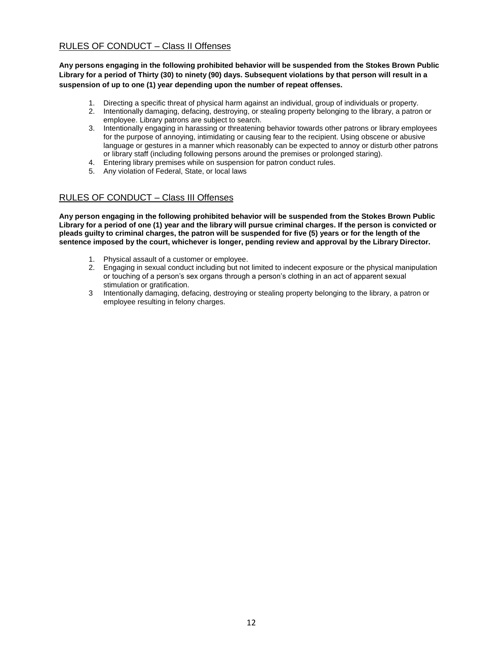# RULES OF CONDUCT – Class II Offenses

**Any persons engaging in the following prohibited behavior will be suspended from the Stokes Brown Public Library for a period of Thirty (30) to ninety (90) days. Subsequent violations by that person will result in a suspension of up to one (1) year depending upon the number of repeat offenses.**

- 1. Directing a specific threat of physical harm against an individual, group of individuals or property.
- 2. Intentionally damaging, defacing, destroying, or stealing property belonging to the library, a patron or employee. Library patrons are subject to search.
- 3. Intentionally engaging in harassing or threatening behavior towards other patrons or library employees for the purpose of annoying, intimidating or causing fear to the recipient. Using obscene or abusive language or gestures in a manner which reasonably can be expected to annoy or disturb other patrons or library staff (including following persons around the premises or prolonged staring).
- 4. Entering library premises while on suspension for patron conduct rules.
- 5. Any violation of Federal, State, or local laws

## RULES OF CONDUCT – Class III Offenses

**Any person engaging in the following prohibited behavior will be suspended from the Stokes Brown Public Library for a period of one (1) year and the library will pursue criminal charges. If the person is convicted or pleads guilty to criminal charges, the patron will be suspended for five (5) years or for the length of the sentence imposed by the court, whichever is longer, pending review and approval by the Library Director.**

- 1. Physical assault of a customer or employee.
- 2. Engaging in sexual conduct including but not limited to indecent exposure or the physical manipulation or touching of a person's sex organs through a person's clothing in an act of apparent sexual stimulation or gratification.
- 3 Intentionally damaging, defacing, destroying or stealing property belonging to the library, a patron or employee resulting in felony charges.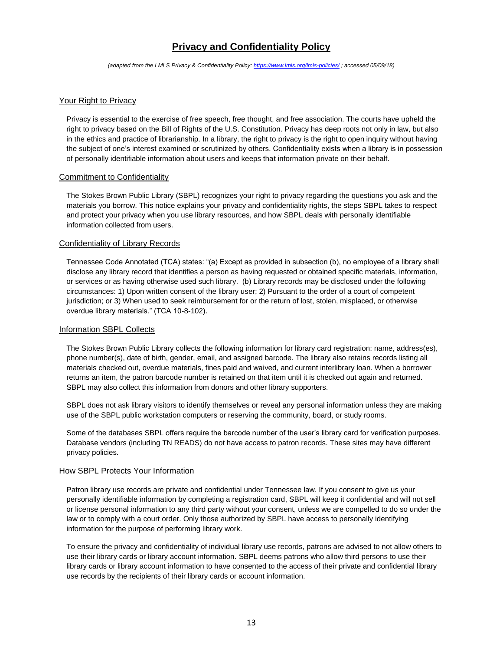# **Privacy and Confidentiality Policy**

*(adapted from the LMLS Privacy & Confidentiality Policy:<https://www.lmls.org/lmls-policies/> ; accessed 05/09/18)*

### Your Right to Privacy

Privacy is essential to the exercise of free speech, free thought, and free association. The courts have upheld the right to privacy based on the Bill of Rights of the U.S. Constitution. Privacy has deep roots not only in law, but also in the ethics and practice of librarianship. In a library, the right to privacy is the right to open inquiry without having the subject of one's interest examined or scrutinized by others. Confidentiality exists when a library is in possession of personally identifiable information about users and keeps that information private on their behalf.

#### Commitment to Confidentiality

The Stokes Brown Public Library (SBPL) recognizes your right to privacy regarding the questions you ask and the materials you borrow. This notice explains your privacy and confidentiality rights, the steps SBPL takes to respect and protect your privacy when you use library resources, and how SBPL deals with personally identifiable information collected from users.

### Confidentiality of Library Records

Tennessee Code Annotated (TCA) states: "(a) Except as provided in subsection (b), no employee of a library shall disclose any library record that identifies a person as having requested or obtained specific materials, information, or services or as having otherwise used such library. (b) Library records may be disclosed under the following circumstances: 1) Upon written consent of the library user; 2) Pursuant to the order of a court of competent jurisdiction; or 3) When used to seek reimbursement for or the return of lost, stolen, misplaced, or otherwise overdue library materials." (TCA 10-8-102).

#### Information SBPL Collects

The Stokes Brown Public Library collects the following information for library card registration: name, address(es), phone number(s), date of birth, gender, email, and assigned barcode. The library also retains records listing all materials checked out, overdue materials, fines paid and waived, and current interlibrary loan. When a borrower returns an item, the patron barcode number is retained on that item until it is checked out again and returned. SBPL may also collect this information from donors and other library supporters.

SBPL does not ask library visitors to identify themselves or reveal any personal information unless they are making use of the SBPL public workstation computers or reserving the community, board, or study rooms.

Some of the databases SBPL offers require the barcode number of the user's library card for verification purposes. Database vendors (including TN READS) do not have access to patron records. These sites may have different privacy policies.

#### How SBPL Protects Your Information

Patron library use records are private and confidential under Tennessee law. If you consent to give us your personally identifiable information by completing a registration card, SBPL will keep it confidential and will not sell or license personal information to any third party without your consent, unless we are compelled to do so under the law or to comply with a court order. Only those authorized by SBPL have access to personally identifying information for the purpose of performing library work.

To ensure the privacy and confidentiality of individual library use records, patrons are advised to not allow others to use their library cards or library account information. SBPL deems patrons who allow third persons to use their library cards or library account information to have consented to the access of their private and confidential library use records by the recipients of their library cards or account information.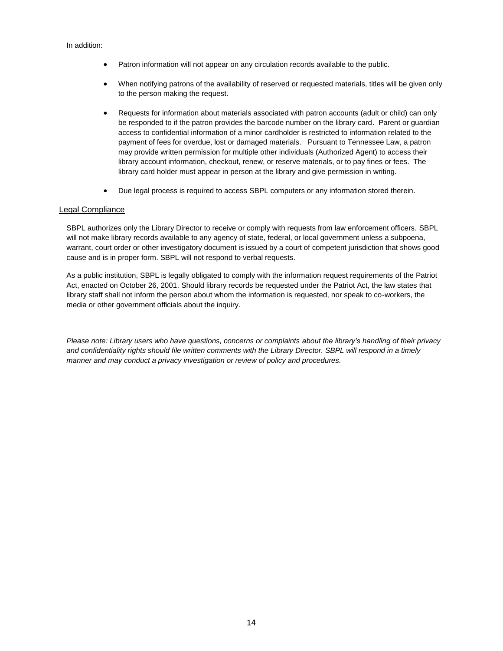- Patron information will not appear on any circulation records available to the public.
- When notifying patrons of the availability of reserved or requested materials, titles will be given only to the person making the request.
- Requests for information about materials associated with patron accounts (adult or child) can only be responded to if the patron provides the barcode number on the library card. Parent or guardian access to confidential information of a minor cardholder is restricted to information related to the payment of fees for overdue, lost or damaged materials. Pursuant to Tennessee Law, a patron may provide written permission for multiple other individuals (Authorized Agent) to access their library account information, checkout, renew, or reserve materials, or to pay fines or fees. The library card holder must appear in person at the library and give permission in writing.
- Due legal process is required to access SBPL computers or any information stored therein.

## Legal Compliance

SBPL authorizes only the Library Director to receive or comply with requests from law enforcement officers. SBPL will not make library records available to any agency of state, federal, or local government unless a subpoena, warrant, court order or other investigatory document is issued by a court of competent jurisdiction that shows good cause and is in proper form. SBPL will not respond to verbal requests.

As a public institution, SBPL is legally obligated to comply with the information request requirements of the Patriot Act, enacted on October 26, 2001. Should library records be requested under the Patriot Act, the law states that library staff shall not inform the person about whom the information is requested, nor speak to co-workers, the media or other government officials about the inquiry.

*Please note: Library users who have questions, concerns or complaints about the library's handling of their privacy and confidentiality rights should file written comments with the Library Director. SBPL will respond in a timely manner and may conduct a privacy investigation or review of policy and procedures.*